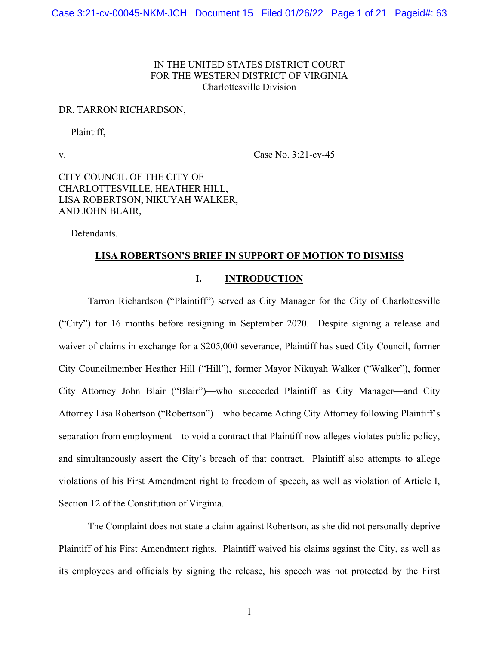## IN THE UNITED STATES DISTRICT COURT FOR THE WESTERN DISTRICT OF VIRGINIA Charlottesville Division

#### DR. TARRON RICHARDSON,

Plaintiff,

v. Case No. 3:21-cv-45

CITY COUNCIL OF THE CITY OF CHARLOTTESVILLE, HEATHER HILL, LISA ROBERTSON, NIKUYAH WALKER, AND JOHN BLAIR,

Defendants.

### **LISA ROBERTSON'S BRIEF IN SUPPORT OF MOTION TO DISMISS**

### **I. INTRODUCTION**

Tarron Richardson ("Plaintiff") served as City Manager for the City of Charlottesville ("City") for 16 months before resigning in September 2020. Despite signing a release and waiver of claims in exchange for a \$205,000 severance, Plaintiff has sued City Council, former City Councilmember Heather Hill ("Hill"), former Mayor Nikuyah Walker ("Walker"), former City Attorney John Blair ("Blair")—who succeeded Plaintiff as City Manager—and City Attorney Lisa Robertson ("Robertson")—who became Acting City Attorney following Plaintiff's separation from employment—to void a contract that Plaintiff now alleges violates public policy, and simultaneously assert the City's breach of that contract. Plaintiff also attempts to allege violations of his First Amendment right to freedom of speech, as well as violation of Article I, Section 12 of the Constitution of Virginia.

The Complaint does not state a claim against Robertson, as she did not personally deprive Plaintiff of his First Amendment rights. Plaintiff waived his claims against the City, as well as its employees and officials by signing the release, his speech was not protected by the First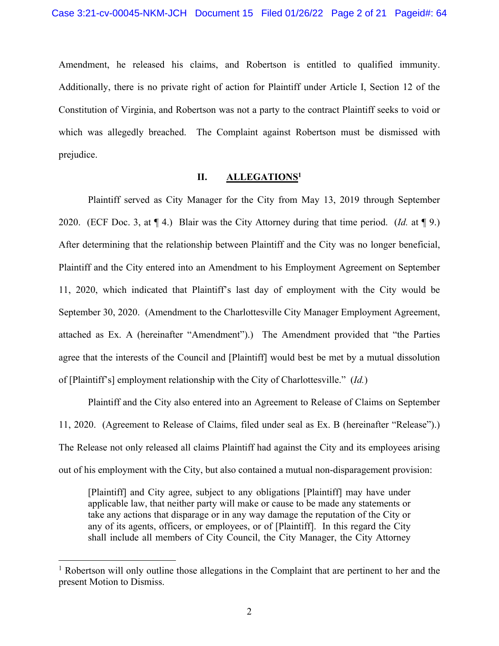Amendment, he released his claims, and Robertson is entitled to qualified immunity. Additionally, there is no private right of action for Plaintiff under Article I, Section 12 of the Constitution of Virginia, and Robertson was not a party to the contract Plaintiff seeks to void or which was allegedly breached. The Complaint against Robertson must be dismissed with prejudice.

## **II. ALLEGATIONS1**

Plaintiff served as City Manager for the City from May 13, 2019 through September 2020. (ECF Doc. 3, at ¶ 4.) Blair was the City Attorney during that time period. (*Id.* at ¶ 9.) After determining that the relationship between Plaintiff and the City was no longer beneficial, Plaintiff and the City entered into an Amendment to his Employment Agreement on September 11, 2020, which indicated that Plaintiff's last day of employment with the City would be September 30, 2020. (Amendment to the Charlottesville City Manager Employment Agreement, attached as Ex. A (hereinafter "Amendment").) The Amendment provided that "the Parties agree that the interests of the Council and [Plaintiff] would best be met by a mutual dissolution of [Plaintiff's] employment relationship with the City of Charlottesville." (*Id.*)

Plaintiff and the City also entered into an Agreement to Release of Claims on September 11, 2020. (Agreement to Release of Claims, filed under seal as Ex. B (hereinafter "Release").) The Release not only released all claims Plaintiff had against the City and its employees arising out of his employment with the City, but also contained a mutual non-disparagement provision:

[Plaintiff] and City agree, subject to any obligations [Plaintiff] may have under applicable law, that neither party will make or cause to be made any statements or take any actions that disparage or in any way damage the reputation of the City or any of its agents, officers, or employees, or of [Plaintiff]. In this regard the City shall include all members of City Council, the City Manager, the City Attorney

<sup>&</sup>lt;sup>1</sup> Robertson will only outline those allegations in the Complaint that are pertinent to her and the present Motion to Dismiss.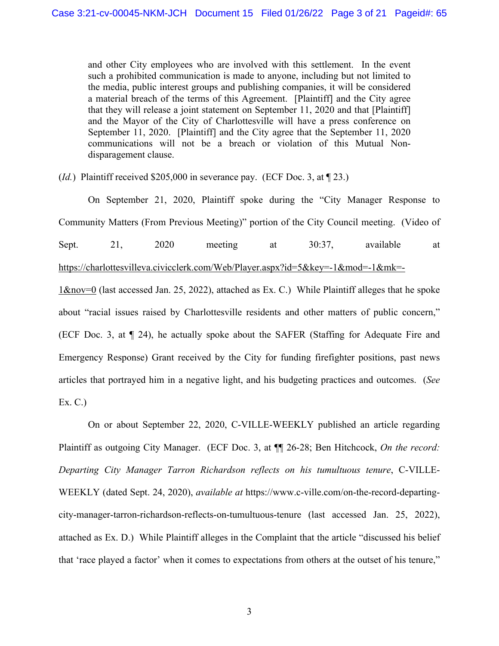and other City employees who are involved with this settlement. In the event such a prohibited communication is made to anyone, including but not limited to the media, public interest groups and publishing companies, it will be considered a material breach of the terms of this Agreement. [Plaintiff] and the City agree that they will release a joint statement on September 11, 2020 and that [Plaintiff] and the Mayor of the City of Charlottesville will have a press conference on September 11, 2020. [Plaintiff] and the City agree that the September 11, 2020 communications will not be a breach or violation of this Mutual Nondisparagement clause.

(*Id.*) Plaintiff received \$205,000 in severance pay. (ECF Doc. 3, at \mum 23.)

 On September 21, 2020, Plaintiff spoke during the "City Manager Response to Community Matters (From Previous Meeting)" portion of the City Council meeting. (Video of Sept. 21, 2020 meeting at 30:37, available at https://charlottesvilleva.civicclerk.com/Web/Player.aspx?id=5&key=-1&mod=-1&mk=-  $1\&nov=0$  (last accessed Jan. 25, 2022), attached as Ex. C.) While Plaintiff alleges that he spoke

about "racial issues raised by Charlottesville residents and other matters of public concern," (ECF Doc. 3, at ¶ 24), he actually spoke about the SAFER (Staffing for Adequate Fire and Emergency Response) Grant received by the City for funding firefighter positions, past news articles that portrayed him in a negative light, and his budgeting practices and outcomes. (*See*  Ex. C.)

On or about September 22, 2020, C-VILLE-WEEKLY published an article regarding Plaintiff as outgoing City Manager. (ECF Doc. 3, at ¶¶ 26-28; Ben Hitchcock, *On the record: Departing City Manager Tarron Richardson reflects on his tumultuous tenure*, C-VILLE-WEEKLY (dated Sept. 24, 2020), *available at* https://www.c-ville.com/on-the-record-departingcity-manager-tarron-richardson-reflects-on-tumultuous-tenure (last accessed Jan. 25, 2022), attached as Ex. D.) While Plaintiff alleges in the Complaint that the article "discussed his belief that 'race played a factor' when it comes to expectations from others at the outset of his tenure,"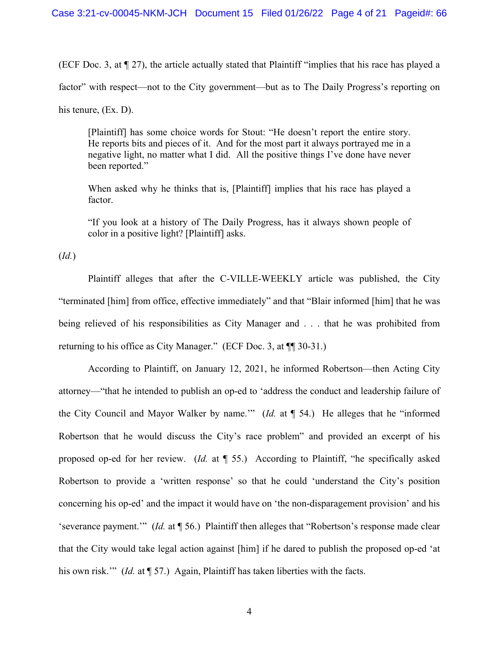(ECF Doc. 3, at ¶ 27), the article actually stated that Plaintiff "implies that his race has played a factor" with respect—not to the City government—but as to The Daily Progress's reporting on his tenure, (Ex. D).

[Plaintiff] has some choice words for Stout: "He doesn't report the entire story. He reports bits and pieces of it. And for the most part it always portrayed me in a negative light, no matter what I did. All the positive things I've done have never been reported."

When asked why he thinks that is, [Plaintiff] implies that his race has played a factor.

"If you look at a history of The Daily Progress, has it always shown people of color in a positive light? [Plaintiff] asks.

(*Id.*)

 Plaintiff alleges that after the C-VILLE-WEEKLY article was published, the City "terminated [him] from office, effective immediately" and that "Blair informed [him] that he was being relieved of his responsibilities as City Manager and . . . that he was prohibited from returning to his office as City Manager." (ECF Doc. 3, at ¶¶ 30-31.)

 According to Plaintiff, on January 12, 2021, he informed Robertson—then Acting City attorney—"that he intended to publish an op-ed to 'address the conduct and leadership failure of the City Council and Mayor Walker by name.'" (*Id.* at ¶ 54.) He alleges that he "informed Robertson that he would discuss the City's race problem" and provided an excerpt of his proposed op-ed for her review. (*Id.* at ¶ 55.) According to Plaintiff, "he specifically asked Robertson to provide a 'written response' so that he could 'understand the City's position concerning his op-ed' and the impact it would have on 'the non-disparagement provision' and his 'severance payment.'" (*Id.* at ¶ 56.) Plaintiff then alleges that "Robertson's response made clear that the City would take legal action against [him] if he dared to publish the proposed op-ed 'at his own risk." (*Id.* at ¶ 57.) Again, Plaintiff has taken liberties with the facts.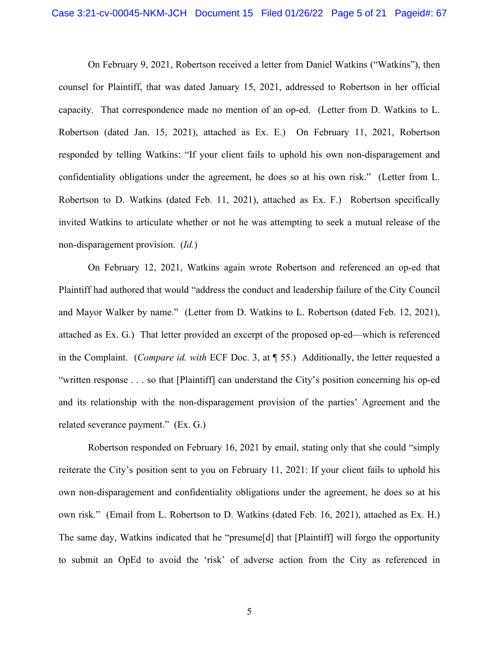On February 9, 2021, Robertson received a letter from Daniel Watkins ("Watkins"), then counsel for Plaintiff, that was dated January 15, 2021, addressed to Robertson in her official capacity. That correspondence made no mention of an op-ed. (Letter from D. Watkins to L. Robertson (dated Jan. 15, 2021), attached as Ex. E.) On February 11, 2021, Robertson responded by telling Watkins: "If your client fails to uphold his own non-disparagement and confidentiality obligations under the agreement, he does so at his own risk." (Letter from L. Robertson to D. Watkins (dated Feb. 11, 2021), attached as Ex. F.) Robertson specifically invited Watkins to articulate whether or not he was attempting to seek a mutual release of the non-disparagement provision. (*Id.*)

On February 12, 2021, Watkins again wrote Robertson and referenced an op-ed that Plaintiff had authored that would "address the conduct and leadership failure of the City Council and Mayor Walker by name." (Letter from D. Watkins to L. Robertson (dated Feb. 12, 2021), attached as Ex. G.) That letter provided an excerpt of the proposed op-ed—which is referenced in the Complaint. (*Compare id. with* ECF Doc. 3, at ¶ 55.) Additionally, the letter requested a "written response . . . so that [Plaintiff] can understand the City's position concerning his op-ed and its relationship with the non-disparagement provision of the parties' Agreement and the related severance payment." (Ex. G.)

Robertson responded on February 16, 2021 by email, stating only that she could "simply reiterate the City's position sent to you on February 11, 2021: If your client fails to uphold his own non-disparagement and confidentiality obligations under the agreement, he does so at his own risk." (Email from L. Robertson to D. Watkins (dated Feb. 16, 2021), attached as Ex. H.) The same day, Watkins indicated that he "presume[d] that [Plaintiff] will forgo the opportunity to submit an OpEd to avoid the 'risk' of adverse action from the City as referenced in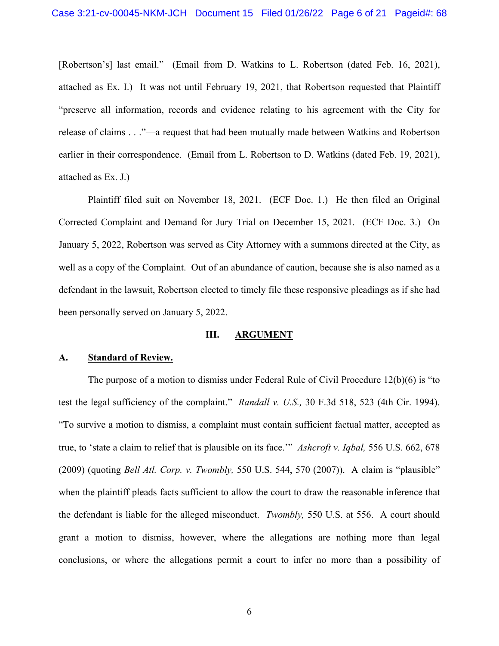[Robertson's] last email." (Email from D. Watkins to L. Robertson (dated Feb. 16, 2021), attached as Ex. I.) It was not until February 19, 2021, that Robertson requested that Plaintiff "preserve all information, records and evidence relating to his agreement with the City for release of claims . . ."—a request that had been mutually made between Watkins and Robertson earlier in their correspondence. (Email from L. Robertson to D. Watkins (dated Feb. 19, 2021), attached as Ex. J.)

 Plaintiff filed suit on November 18, 2021. (ECF Doc. 1.) He then filed an Original Corrected Complaint and Demand for Jury Trial on December 15, 2021. (ECF Doc. 3.) On January 5, 2022, Robertson was served as City Attorney with a summons directed at the City, as well as a copy of the Complaint. Out of an abundance of caution, because she is also named as a defendant in the lawsuit, Robertson elected to timely file these responsive pleadings as if she had been personally served on January 5, 2022.

#### **III. ARGUMENT**

#### **A. Standard of Review.**

The purpose of a motion to dismiss under Federal Rule of Civil Procedure 12(b)(6) is "to test the legal sufficiency of the complaint." *Randall v. U.S.,* 30 F.3d 518, 523 (4th Cir. 1994). "To survive a motion to dismiss, a complaint must contain sufficient factual matter, accepted as true, to 'state a claim to relief that is plausible on its face.'" *Ashcroft v. Iqbal,* 556 U.S. 662, 678 (2009) (quoting *Bell Atl. Corp. v. Twombly,* 550 U.S. 544, 570 (2007)). A claim is "plausible" when the plaintiff pleads facts sufficient to allow the court to draw the reasonable inference that the defendant is liable for the alleged misconduct. *Twombly,* 550 U.S. at 556. A court should grant a motion to dismiss, however, where the allegations are nothing more than legal conclusions, or where the allegations permit a court to infer no more than a possibility of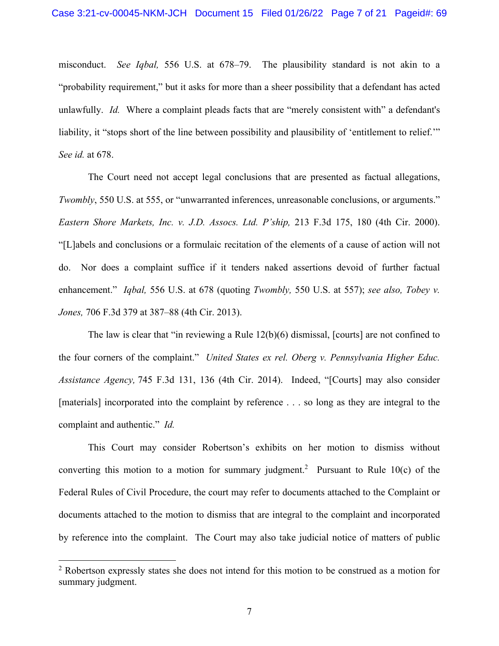misconduct. *See Iqbal,* 556 U.S. at 678–79. The plausibility standard is not akin to a "probability requirement," but it asks for more than a sheer possibility that a defendant has acted unlawfully. *Id.* Where a complaint pleads facts that are "merely consistent with" a defendant's liability, it "stops short of the line between possibility and plausibility of 'entitlement to relief." *See id.* at 678.

The Court need not accept legal conclusions that are presented as factual allegations, *Twombly*, 550 U.S. at 555, or "unwarranted inferences, unreasonable conclusions, or arguments." *Eastern Shore Markets, Inc. v. J.D. Assocs. Ltd. P'ship,* 213 F.3d 175, 180 (4th Cir. 2000). "[L]abels and conclusions or a formulaic recitation of the elements of a cause of action will not do. Nor does a complaint suffice if it tenders naked assertions devoid of further factual enhancement." *Iqbal,* 556 U.S. at 678 (quoting *Twombly,* 550 U.S. at 557); *see also, Tobey v. Jones,* 706 F.3d 379 at 387–88 (4th Cir. 2013).

The law is clear that "in reviewing a Rule 12(b)(6) dismissal, [courts] are not confined to the four corners of the complaint." *United States ex rel. Oberg v. Pennsylvania Higher Educ. Assistance Agency,* 745 F.3d 131, 136 (4th Cir. 2014). Indeed, "[Courts] may also consider [materials] incorporated into the complaint by reference . . . so long as they are integral to the complaint and authentic." *Id.* 

This Court may consider Robertson's exhibits on her motion to dismiss without converting this motion to a motion for summary judgment.<sup>2</sup> Pursuant to Rule 10(c) of the Federal Rules of Civil Procedure, the court may refer to documents attached to the Complaint or documents attached to the motion to dismiss that are integral to the complaint and incorporated by reference into the complaint. The Court may also take judicial notice of matters of public

<sup>&</sup>lt;sup>2</sup> Robertson expressly states she does not intend for this motion to be construed as a motion for summary judgment.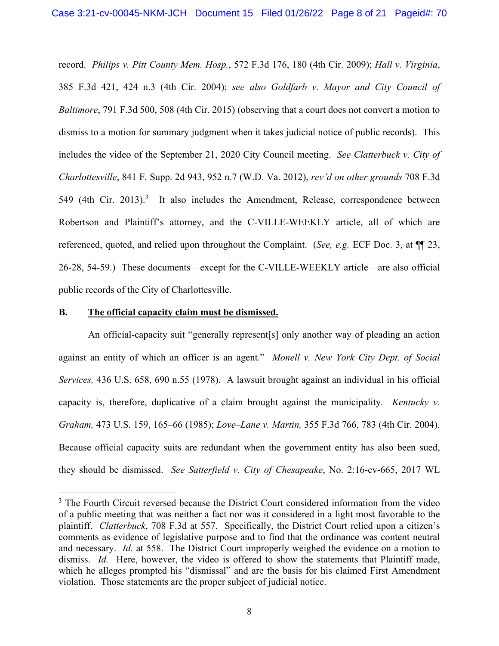record. *Philips v. Pitt County Mem. Hosp.*, 572 F.3d 176, 180 (4th Cir. 2009); *Hall v. Virginia*, 385 F.3d 421, 424 n.3 (4th Cir. 2004); *see also Goldfarb v. Mayor and City Council of Baltimore*, 791 F.3d 500, 508 (4th Cir. 2015) (observing that a court does not convert a motion to dismiss to a motion for summary judgment when it takes judicial notice of public records). This includes the video of the September 21, 2020 City Council meeting. *See Clatterbuck v. City of Charlottesville*, 841 F. Supp. 2d 943, 952 n.7 (W.D. Va. 2012), *rev'd on other grounds* 708 F.3d 549 (4th Cir. 2013).<sup>3</sup> It also includes the Amendment, Release, correspondence between Robertson and Plaintiff's attorney, and the C-VILLE-WEEKLY article, all of which are referenced, quoted, and relied upon throughout the Complaint. (*See, e.g.* ECF Doc. 3, at ¶¶ 23, 26-28, 54-59.) These documents—except for the C-VILLE-WEEKLY article—are also official public records of the City of Charlottesville.

#### **B. The official capacity claim must be dismissed.**

An official-capacity suit "generally represent[s] only another way of pleading an action against an entity of which an officer is an agent." *Monell v. New York City Dept. of Social Services,* 436 U.S. 658, 690 n.55 (1978). A lawsuit brought against an individual in his official capacity is, therefore, duplicative of a claim brought against the municipality. *Kentucky v. Graham,* 473 U.S. 159, 165–66 (1985); *Love–Lane v. Martin,* 355 F.3d 766, 783 (4th Cir. 2004). Because official capacity suits are redundant when the government entity has also been sued, they should be dismissed. *See Satterfield v. City of Chesapeake*, No. 2:16-cv-665, 2017 WL

<sup>&</sup>lt;sup>3</sup> The Fourth Circuit reversed because the District Court considered information from the video of a public meeting that was neither a fact nor was it considered in a light most favorable to the plaintiff. *Clatterbuck*, 708 F.3d at 557. Specifically, the District Court relied upon a citizen's comments as evidence of legislative purpose and to find that the ordinance was content neutral and necessary. *Id.* at 558. The District Court improperly weighed the evidence on a motion to dismiss. *Id.* Here, however, the video is offered to show the statements that Plaintiff made, which he alleges prompted his "dismissal" and are the basis for his claimed First Amendment violation. Those statements are the proper subject of judicial notice.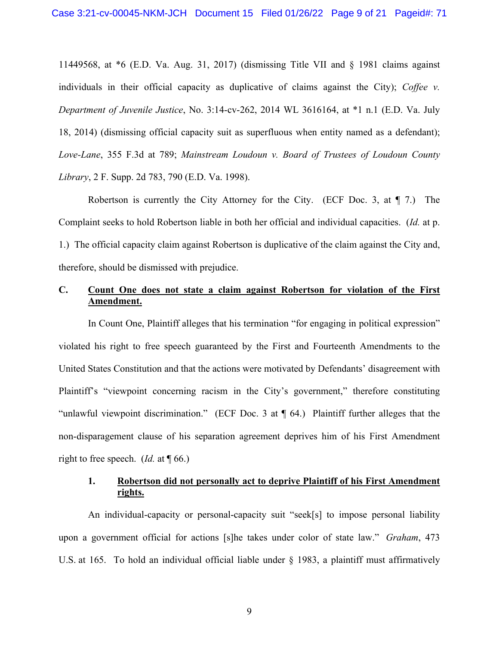11449568, at \*6 (E.D. Va. Aug. 31, 2017) (dismissing Title VII and § 1981 claims against individuals in their official capacity as duplicative of claims against the City); *Coffee v. Department of Juvenile Justice*, No. 3:14-cv-262, 2014 WL 3616164, at \*1 n.1 (E.D. Va. July 18, 2014) (dismissing official capacity suit as superfluous when entity named as a defendant); *Love-Lane*, 355 F.3d at 789; *Mainstream Loudoun v. Board of Trustees of Loudoun County Library*, 2 F. Supp. 2d 783, 790 (E.D. Va. 1998).

Robertson is currently the City Attorney for the City. (ECF Doc. 3, at  $\P$  7.) The Complaint seeks to hold Robertson liable in both her official and individual capacities. (*Id.* at p. 1.) The official capacity claim against Robertson is duplicative of the claim against the City and, therefore, should be dismissed with prejudice.

# **C. Count One does not state a claim against Robertson for violation of the First Amendment.**

In Count One, Plaintiff alleges that his termination "for engaging in political expression" violated his right to free speech guaranteed by the First and Fourteenth Amendments to the United States Constitution and that the actions were motivated by Defendants' disagreement with Plaintiff's "viewpoint concerning racism in the City's government," therefore constituting "unlawful viewpoint discrimination." (ECF Doc. 3 at ¶ 64.) Plaintiff further alleges that the non-disparagement clause of his separation agreement deprives him of his First Amendment right to free speech. (*Id.* at ¶ 66.)

# **1. Robertson did not personally act to deprive Plaintiff of his First Amendment rights.**

An individual-capacity or personal-capacity suit "seek[s] to impose personal liability upon a government official for actions [s]he takes under color of state law." *Graham*, 473 U.S. at 165. To hold an individual official liable under § 1983, a plaintiff must affirmatively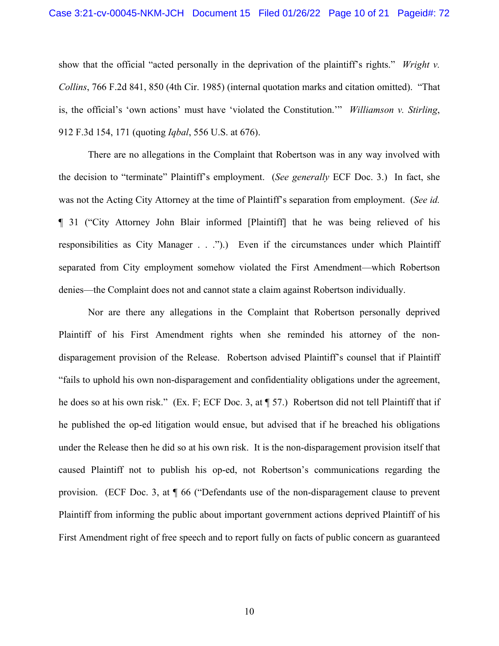show that the official "acted personally in the deprivation of the plaintiff's rights." *Wright v. Collins*, 766 F.2d 841, 850 (4th Cir. 1985) (internal quotation marks and citation omitted). "That is, the official's 'own actions' must have 'violated the Constitution.'" *Williamson v. Stirling*, 912 F.3d 154, 171 (quoting *Iqbal*, 556 U.S. at 676).

There are no allegations in the Complaint that Robertson was in any way involved with the decision to "terminate" Plaintiff's employment. (*See generally* ECF Doc. 3.) In fact, she was not the Acting City Attorney at the time of Plaintiff's separation from employment. (*See id.* ¶ 31 ("City Attorney John Blair informed [Plaintiff] that he was being relieved of his responsibilities as City Manager . . .").) Even if the circumstances under which Plaintiff separated from City employment somehow violated the First Amendment—which Robertson denies—the Complaint does not and cannot state a claim against Robertson individually.

Nor are there any allegations in the Complaint that Robertson personally deprived Plaintiff of his First Amendment rights when she reminded his attorney of the nondisparagement provision of the Release. Robertson advised Plaintiff's counsel that if Plaintiff "fails to uphold his own non-disparagement and confidentiality obligations under the agreement, he does so at his own risk." (Ex. F; ECF Doc. 3, at ¶ 57.) Robertson did not tell Plaintiff that if he published the op-ed litigation would ensue, but advised that if he breached his obligations under the Release then he did so at his own risk. It is the non-disparagement provision itself that caused Plaintiff not to publish his op-ed, not Robertson's communications regarding the provision. (ECF Doc. 3, at ¶ 66 ("Defendants use of the non-disparagement clause to prevent Plaintiff from informing the public about important government actions deprived Plaintiff of his First Amendment right of free speech and to report fully on facts of public concern as guaranteed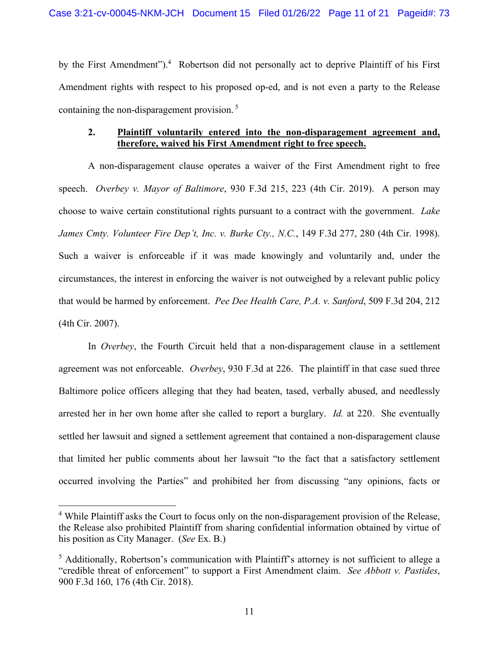by the First Amendment").<sup>4</sup> Robertson did not personally act to deprive Plaintiff of his First Amendment rights with respect to his proposed op-ed, and is not even a party to the Release containing the non-disparagement provision. 5

## **2. Plaintiff voluntarily entered into the non-disparagement agreement and, therefore, waived his First Amendment right to free speech.**

A non-disparagement clause operates a waiver of the First Amendment right to free speech. *Overbey v. Mayor of Baltimore*, 930 F.3d 215, 223 (4th Cir. 2019). A person may choose to waive certain constitutional rights pursuant to a contract with the government. *Lake James Cmty. Volunteer Fire Dep't, Inc. v. Burke Cty., N.C.*, 149 F.3d 277, 280 (4th Cir. 1998). Such a waiver is enforceable if it was made knowingly and voluntarily and, under the circumstances, the interest in enforcing the waiver is not outweighed by a relevant public policy that would be harmed by enforcement. *Pee Dee Health Care, P.A. v. Sanford*, 509 F.3d 204, 212 (4th Cir. 2007).

In *Overbey*, the Fourth Circuit held that a non-disparagement clause in a settlement agreement was not enforceable. *Overbey*, 930 F.3d at 226. The plaintiff in that case sued three Baltimore police officers alleging that they had beaten, tased, verbally abused, and needlessly arrested her in her own home after she called to report a burglary. *Id.* at 220. She eventually settled her lawsuit and signed a settlement agreement that contained a non-disparagement clause that limited her public comments about her lawsuit "to the fact that a satisfactory settlement occurred involving the Parties" and prohibited her from discussing "any opinions, facts or

<sup>&</sup>lt;sup>4</sup> While Plaintiff asks the Court to focus only on the non-disparagement provision of the Release, the Release also prohibited Plaintiff from sharing confidential information obtained by virtue of his position as City Manager. (*See* Ex. B.)

<sup>&</sup>lt;sup>5</sup> Additionally, Robertson's communication with Plaintiff's attorney is not sufficient to allege a "credible threat of enforcement" to support a First Amendment claim. *See Abbott v. Pastides*, 900 F.3d 160, 176 (4th Cir. 2018).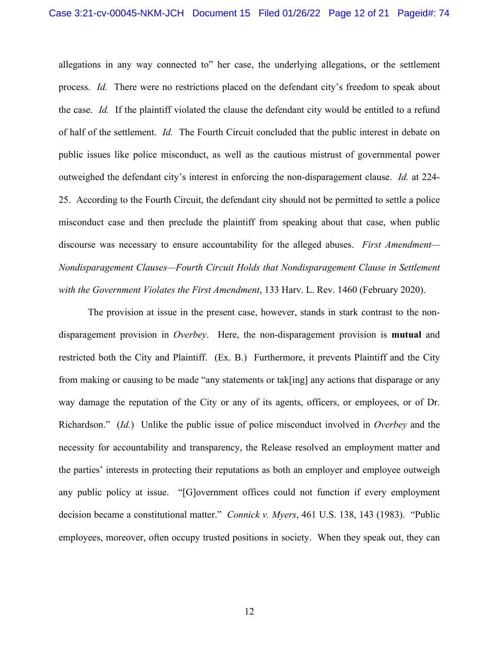allegations in any way connected to" her case, the underlying allegations, or the settlement process. *Id.* There were no restrictions placed on the defendant city's freedom to speak about the case. *Id.* If the plaintiff violated the clause the defendant city would be entitled to a refund of half of the settlement. *Id.* The Fourth Circuit concluded that the public interest in debate on public issues like police misconduct, as well as the cautious mistrust of governmental power outweighed the defendant city's interest in enforcing the non-disparagement clause. *Id.* at 224- 25. According to the Fourth Circuit, the defendant city should not be permitted to settle a police misconduct case and then preclude the plaintiff from speaking about that case, when public discourse was necessary to ensure accountability for the alleged abuses. *First Amendment— Nondisparagement Clauses—Fourth Circuit Holds that Nondisparagement Clause in Settlement with the Government Violates the First Amendment*, 133 Harv. L. Rev. 1460 (February 2020).

 The provision at issue in the present case, however, stands in stark contrast to the nondisparagement provision in *Overbey*. Here, the non-disparagement provision is **mutual** and restricted both the City and Plaintiff. (Ex. B.) Furthermore, it prevents Plaintiff and the City from making or causing to be made "any statements or tak[ing] any actions that disparage or any way damage the reputation of the City or any of its agents, officers, or employees, or of Dr. Richardson." (*Id.*) Unlike the public issue of police misconduct involved in *Overbey* and the necessity for accountability and transparency, the Release resolved an employment matter and the parties' interests in protecting their reputations as both an employer and employee outweigh any public policy at issue. "[G]overnment offices could not function if every employment decision became a constitutional matter." *Connick v. Myers*, 461 U.S. 138, 143 (1983). "Public employees, moreover, often occupy trusted positions in society. When they speak out, they can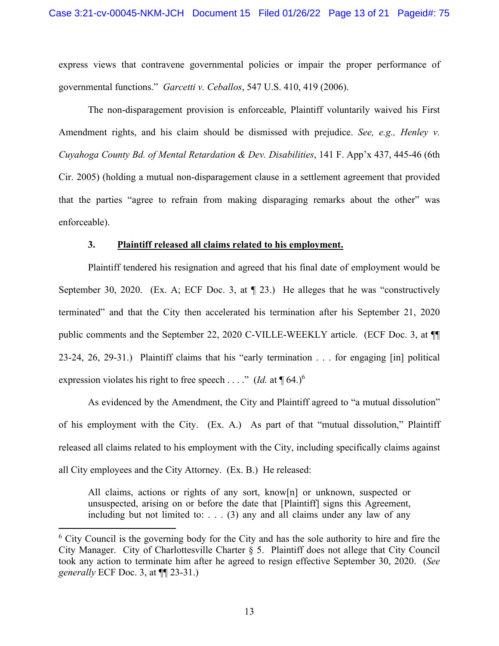express views that contravene governmental policies or impair the proper performance of governmental functions." *Garcetti v. Ceballos*, 547 U.S. 410, 419 (2006).

 The non-disparagement provision is enforceable, Plaintiff voluntarily waived his First Amendment rights, and his claim should be dismissed with prejudice. *See, e.g., Henley v. Cuyahoga County Bd. of Mental Retardation & Dev. Disabilities*, 141 F. App'x 437, 445-46 (6th Cir. 2005) (holding a mutual non-disparagement clause in a settlement agreement that provided that the parties "agree to refrain from making disparaging remarks about the other" was enforceable).

#### **3. Plaintiff released all claims related to his employment.**

Plaintiff tendered his resignation and agreed that his final date of employment would be September 30, 2020. (Ex. A; ECF Doc. 3, at  $\P$  23.) He alleges that he was "constructively terminated" and that the City then accelerated his termination after his September 21, 2020 public comments and the September 22, 2020 C-VILLE-WEEKLY article. (ECF Doc. 3, at ¶¶ 23-24, 26, 29-31.) Plaintiff claims that his "early termination . . . for engaging [in] political expression violates his right to free speech . . . ." (*Id.* at  $\P$  64.)<sup>6</sup>

As evidenced by the Amendment, the City and Plaintiff agreed to "a mutual dissolution" of his employment with the City. (Ex. A.) As part of that "mutual dissolution," Plaintiff released all claims related to his employment with the City, including specifically claims against all City employees and the City Attorney. (Ex. B.) He released:

All claims, actions or rights of any sort, know[n] or unknown, suspected or unsuspected, arising on or before the date that [Plaintiff] signs this Agreement, including but not limited to: . . . (3) any and all claims under any law of any

<sup>&</sup>lt;sup>6</sup> City Council is the governing body for the City and has the sole authority to hire and fire the City Manager. City of Charlottesville Charter § 5. Plaintiff does not allege that City Council took any action to terminate him after he agreed to resign effective September 30, 2020. (*See generally* ECF Doc. 3, at ¶¶ 23-31.)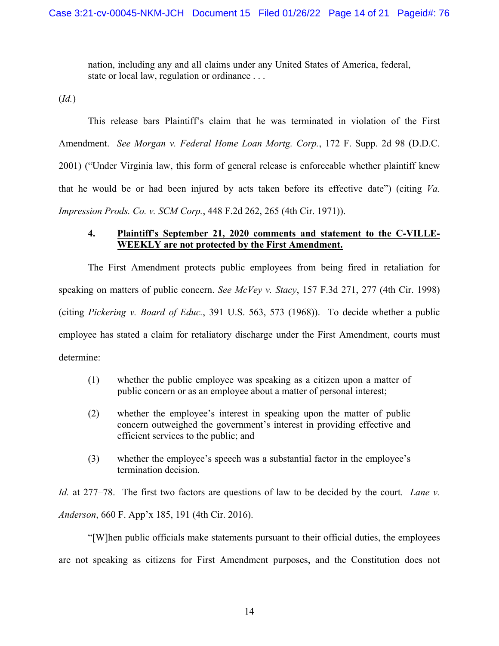nation, including any and all claims under any United States of America, federal, state or local law, regulation or ordinance . . .

(*Id.*)

 This release bars Plaintiff's claim that he was terminated in violation of the First Amendment. *See Morgan v. Federal Home Loan Mortg. Corp.*, 172 F. Supp. 2d 98 (D.D.C. 2001) ("Under Virginia law, this form of general release is enforceable whether plaintiff knew that he would be or had been injured by acts taken before its effective date") (citing *Va. Impression Prods. Co. v. SCM Corp.*, 448 F.2d 262, 265 (4th Cir. 1971)).

## **4. Plaintiff's September 21, 2020 comments and statement to the C-VILLE-WEEKLY are not protected by the First Amendment.**

The First Amendment protects public employees from being fired in retaliation for speaking on matters of public concern. *See McVey v. Stacy*, 157 F.3d 271, 277 (4th Cir. 1998) (citing *Pickering v. Board of Educ.*, 391 U.S. 563, 573 (1968)). To decide whether a public employee has stated a claim for retaliatory discharge under the First Amendment, courts must determine:

- (1) whether the public employee was speaking as a citizen upon a matter of public concern or as an employee about a matter of personal interest;
- (2) whether the employee's interest in speaking upon the matter of public concern outweighed the government's interest in providing effective and efficient services to the public; and
- (3) whether the employee's speech was a substantial factor in the employee's termination decision.

*Id.* at 277–78. The first two factors are questions of law to be decided by the court. *Lane v. Anderson*, 660 F. App'x 185, 191 (4th Cir. 2016).

"[W]hen public officials make statements pursuant to their official duties, the employees are not speaking as citizens for First Amendment purposes, and the Constitution does not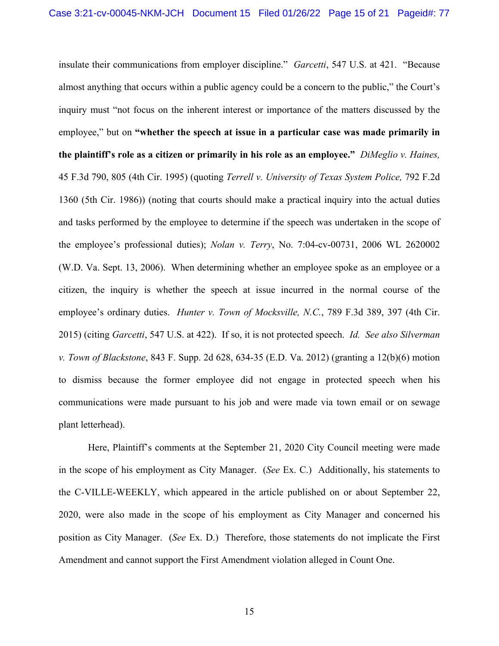insulate their communications from employer discipline." *Garcetti*, 547 U.S. at 421. "Because almost anything that occurs within a public agency could be a concern to the public," the Court's inquiry must "not focus on the inherent interest or importance of the matters discussed by the employee," but on **"whether the speech at issue in a particular case was made primarily in the plaintiff's role as a citizen or primarily in his role as an employee."** *DiMeglio v. Haines,*  45 F.3d 790, 805 (4th Cir. 1995) (quoting *Terrell v. University of Texas System Police,* 792 F.2d 1360 (5th Cir. 1986)) (noting that courts should make a practical inquiry into the actual duties and tasks performed by the employee to determine if the speech was undertaken in the scope of the employee's professional duties); *Nolan v. Terry*, No. 7:04-cv-00731, 2006 WL 2620002 (W.D. Va. Sept. 13, 2006). When determining whether an employee spoke as an employee or a citizen, the inquiry is whether the speech at issue incurred in the normal course of the employee's ordinary duties. *Hunter v. Town of Mocksville, N.C.*, 789 F.3d 389, 397 (4th Cir. 2015) (citing *Garcetti*, 547 U.S. at 422). If so, it is not protected speech. *Id. See also Silverman v. Town of Blackstone*, 843 F. Supp. 2d 628, 634-35 (E.D. Va. 2012) (granting a 12(b)(6) motion to dismiss because the former employee did not engage in protected speech when his communications were made pursuant to his job and were made via town email or on sewage plant letterhead).

Here, Plaintiff's comments at the September 21, 2020 City Council meeting were made in the scope of his employment as City Manager. (*See* Ex. C.) Additionally, his statements to the C-VILLE-WEEKLY, which appeared in the article published on or about September 22, 2020, were also made in the scope of his employment as City Manager and concerned his position as City Manager. (*See* Ex. D.) Therefore, those statements do not implicate the First Amendment and cannot support the First Amendment violation alleged in Count One.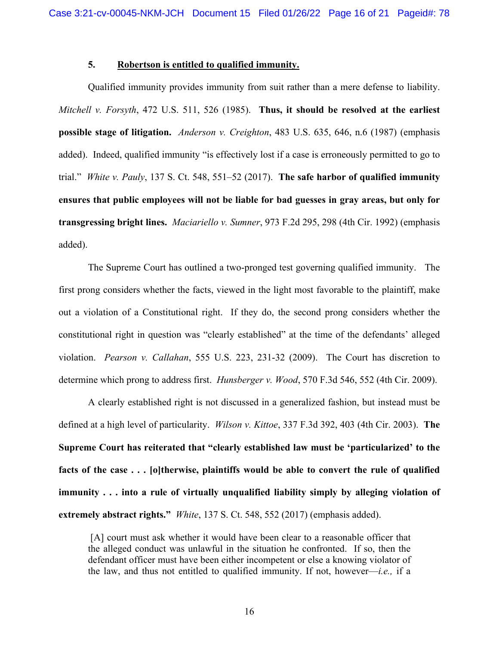### **5. Robertson is entitled to qualified immunity.**

Qualified immunity provides immunity from suit rather than a mere defense to liability. *Mitchell v. Forsyth*, 472 U.S. 511, 526 (1985). **Thus, it should be resolved at the earliest possible stage of litigation.** *Anderson v. Creighton*, 483 U.S. 635, 646, n.6 (1987) (emphasis added). Indeed, qualified immunity "is effectively lost if a case is erroneously permitted to go to trial." *White v. Pauly*, 137 S. Ct. 548, 551–52 (2017). **The safe harbor of qualified immunity ensures that public employees will not be liable for bad guesses in gray areas, but only for transgressing bright lines.** *Maciariello v. Sumner*, 973 F.2d 295, 298 (4th Cir. 1992) (emphasis added).

The Supreme Court has outlined a two-pronged test governing qualified immunity. The first prong considers whether the facts, viewed in the light most favorable to the plaintiff, make out a violation of a Constitutional right. If they do, the second prong considers whether the constitutional right in question was "clearly established" at the time of the defendants' alleged violation. *Pearson v. Callahan*, 555 U.S. 223, 231-32 (2009). The Court has discretion to determine which prong to address first. *Hunsberger v. Wood*, 570 F.3d 546, 552 (4th Cir. 2009).

A clearly established right is not discussed in a generalized fashion, but instead must be defined at a high level of particularity. *Wilson v. Kittoe*, 337 F.3d 392, 403 (4th Cir. 2003). **The Supreme Court has reiterated that "clearly established law must be 'particularized' to the facts of the case . . . [o]therwise, plaintiffs would be able to convert the rule of qualified immunity . . . into a rule of virtually unqualified liability simply by alleging violation of extremely abstract rights."** *White*, 137 S. Ct. 548, 552 (2017) (emphasis added).

 [A] court must ask whether it would have been clear to a reasonable officer that the alleged conduct was unlawful in the situation he confronted. If so, then the defendant officer must have been either incompetent or else a knowing violator of the law, and thus not entitled to qualified immunity. If not, however—*i.e.,* if a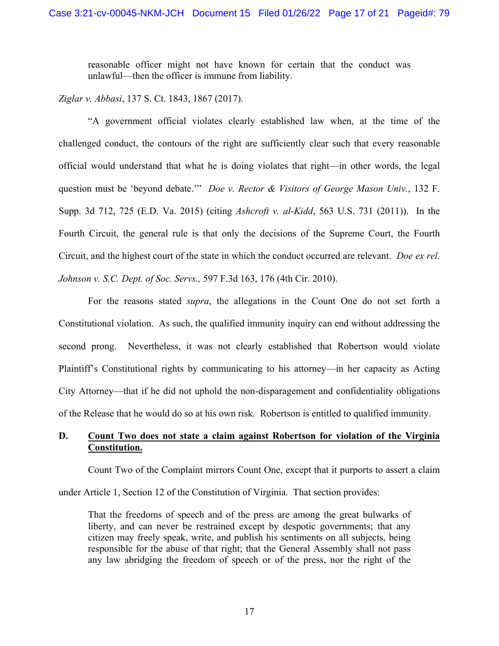reasonable officer might not have known for certain that the conduct was unlawful—then the officer is immune from liability.

*Ziglar v. Abbasi*, 137 S. Ct. 1843, 1867 (2017).

"A government official violates clearly established law when, at the time of the challenged conduct, the contours of the right are sufficiently clear such that every reasonable official would understand that what he is doing violates that right—in other words, the legal question must be 'beyond debate.'" *Doe v. Rector & Visitors of George Mason Univ.*, 132 F. Supp. 3d 712, 725 (E.D. Va. 2015) (citing *Ashcroft v. al-Kidd*, 563 U.S. 731 (2011)). In the Fourth Circuit, the general rule is that only the decisions of the Supreme Court, the Fourth Circuit, and the highest court of the state in which the conduct occurred are relevant. *Doe ex rel. Johnson v. S.C. Dept. of Soc. Servs.,* 597 F.3d 163, 176 (4th Cir. 2010).

For the reasons stated *supra*, the allegations in the Count One do not set forth a Constitutional violation. As such, the qualified immunity inquiry can end without addressing the second prong. Nevertheless, it was not clearly established that Robertson would violate Plaintiff's Constitutional rights by communicating to his attorney—in her capacity as Acting City Attorney—that if he did not uphold the non-disparagement and confidentiality obligations of the Release that he would do so at his own risk. Robertson is entitled to qualified immunity.

# **D. Count Two does not state a claim against Robertson for violation of the Virginia Constitution.**

Count Two of the Complaint mirrors Count One, except that it purports to assert a claim

under Article 1, Section 12 of the Constitution of Virginia. That section provides:

That the freedoms of speech and of the press are among the great bulwarks of liberty, and can never be restrained except by despotic governments; that any citizen may freely speak, write, and publish his sentiments on all subjects, being responsible for the abuse of that right; that the General Assembly shall not pass any law abridging the freedom of speech or of the press, nor the right of the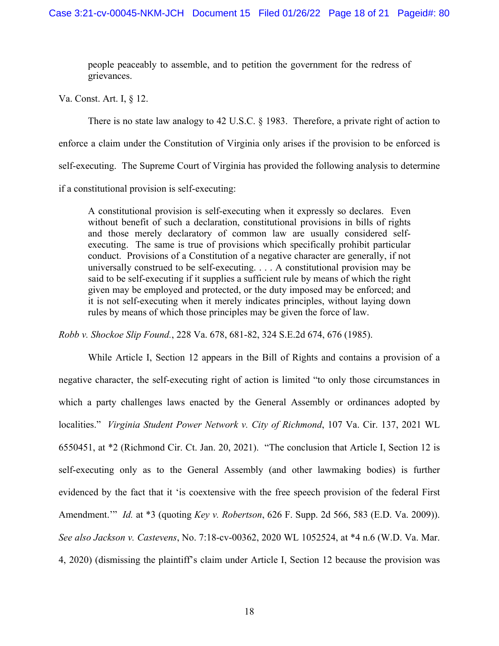people peaceably to assemble, and to petition the government for the redress of grievances.

Va. Const. Art. I, § 12.

 There is no state law analogy to 42 U.S.C. § 1983. Therefore, a private right of action to enforce a claim under the Constitution of Virginia only arises if the provision to be enforced is self-executing. The Supreme Court of Virginia has provided the following analysis to determine if a constitutional provision is self-executing:

A constitutional provision is self-executing when it expressly so declares. Even without benefit of such a declaration, constitutional provisions in bills of rights and those merely declaratory of common law are usually considered selfexecuting. The same is true of provisions which specifically prohibit particular conduct. Provisions of a Constitution of a negative character are generally, if not universally construed to be self-executing. . . . A constitutional provision may be said to be self-executing if it supplies a sufficient rule by means of which the right given may be employed and protected, or the duty imposed may be enforced; and it is not self-executing when it merely indicates principles, without laying down rules by means of which those principles may be given the force of law.

*Robb v. Shockoe Slip Found.*, 228 Va. 678, 681-82, 324 S.E.2d 674, 676 (1985).

 While Article I, Section 12 appears in the Bill of Rights and contains a provision of a negative character, the self-executing right of action is limited "to only those circumstances in which a party challenges laws enacted by the General Assembly or ordinances adopted by localities." *Virginia Student Power Network v. City of Richmond*, 107 Va. Cir. 137, 2021 WL 6550451, at \*2 (Richmond Cir. Ct. Jan. 20, 2021). "The conclusion that Article I, Section 12 is self-executing only as to the General Assembly (and other lawmaking bodies) is further evidenced by the fact that it 'is coextensive with the free speech provision of the federal First Amendment.'" *Id.* at \*3 (quoting *Key v. Robertson*, 626 F. Supp. 2d 566, 583 (E.D. Va. 2009)). *See also Jackson v. Castevens*, No. 7:18-cv-00362, 2020 WL 1052524, at \*4 n.6 (W.D. Va. Mar. 4, 2020) (dismissing the plaintiff's claim under Article I, Section 12 because the provision was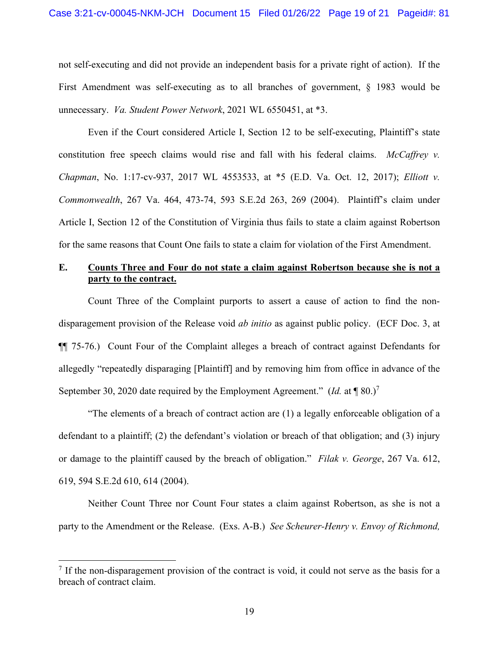not self-executing and did not provide an independent basis for a private right of action). If the First Amendment was self-executing as to all branches of government, § 1983 would be unnecessary. *Va. Student Power Network*, 2021 WL 6550451, at \*3.

Even if the Court considered Article I, Section 12 to be self-executing, Plaintiff's state constitution free speech claims would rise and fall with his federal claims. *McCaffrey v. Chapman*, No. 1:17-cv-937, 2017 WL 4553533, at \*5 (E.D. Va. Oct. 12, 2017); *Elliott v. Commonwealth*, 267 Va. 464, 473-74, 593 S.E.2d 263, 269 (2004). Plaintiff's claim under Article I, Section 12 of the Constitution of Virginia thus fails to state a claim against Robertson for the same reasons that Count One fails to state a claim for violation of the First Amendment.

# **E. Counts Three and Four do not state a claim against Robertson because she is not a party to the contract.**

Count Three of the Complaint purports to assert a cause of action to find the nondisparagement provision of the Release void *ab initio* as against public policy. (ECF Doc. 3, at ¶¶ 75-76.) Count Four of the Complaint alleges a breach of contract against Defendants for allegedly "repeatedly disparaging [Plaintiff] and by removing him from office in advance of the September 30, 2020 date required by the Employment Agreement." (*Id.* at  $\P$  80.)<sup>7</sup>

"The elements of a breach of contract action are (1) a legally enforceable obligation of a defendant to a plaintiff; (2) the defendant's violation or breach of that obligation; and (3) injury or damage to the plaintiff caused by the breach of obligation." *Filak v. George*, 267 Va. 612, 619, 594 S.E.2d 610, 614 (2004).

Neither Count Three nor Count Four states a claim against Robertson, as she is not a party to the Amendment or the Release. (Exs. A-B.) *See Scheurer-Henry v. Envoy of Richmond,* 

 $<sup>7</sup>$  If the non-disparagement provision of the contract is void, it could not serve as the basis for a</sup> breach of contract claim.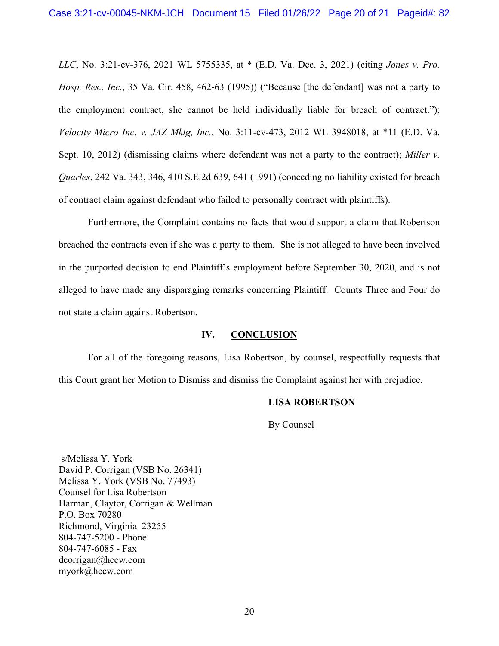*LLC*, No. 3:21-cv-376, 2021 WL 5755335, at \* (E.D. Va. Dec. 3, 2021) (citing *Jones v. Pro. Hosp. Res., Inc.*, 35 Va. Cir. 458, 462-63 (1995)) ("Because [the defendant] was not a party to the employment contract, she cannot be held individually liable for breach of contract."); *Velocity Micro Inc. v. JAZ Mktg, Inc.*, No. 3:11-cv-473, 2012 WL 3948018, at \*11 (E.D. Va. Sept. 10, 2012) (dismissing claims where defendant was not a party to the contract); *Miller v. Quarles*, 242 Va. 343, 346, 410 S.E.2d 639, 641 (1991) (conceding no liability existed for breach of contract claim against defendant who failed to personally contract with plaintiffs).

Furthermore, the Complaint contains no facts that would support a claim that Robertson breached the contracts even if she was a party to them. She is not alleged to have been involved in the purported decision to end Plaintiff's employment before September 30, 2020, and is not alleged to have made any disparaging remarks concerning Plaintiff. Counts Three and Four do not state a claim against Robertson.

### **IV. CONCLUSION**

For all of the foregoing reasons, Lisa Robertson, by counsel, respectfully requests that this Court grant her Motion to Dismiss and dismiss the Complaint against her with prejudice.

### **LISA ROBERTSON**

By Counsel

 s/Melissa Y. York David P. Corrigan (VSB No. 26341) Melissa Y. York (VSB No. 77493) Counsel for Lisa Robertson Harman, Claytor, Corrigan & Wellman P.O. Box 70280 Richmond, Virginia 23255 804-747-5200 - Phone 804-747-6085 - Fax dcorrigan@hccw.com myork@hccw.com